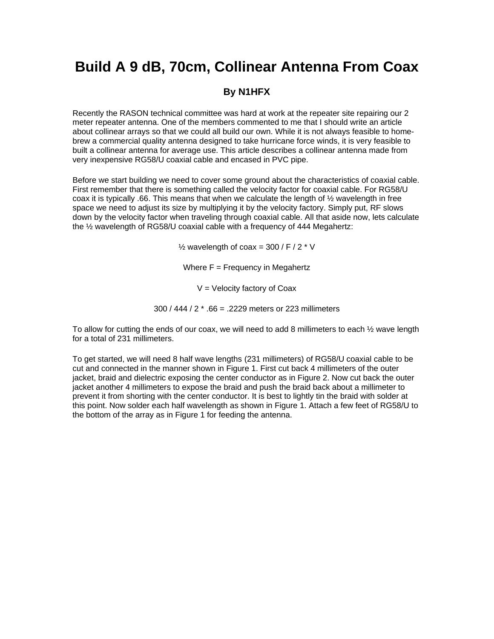## **Build A 9 dB, 70cm, Collinear Antenna From Coax**

## **By N1HFX**

Recently the RASON technical committee was hard at work at the repeater site repairing our 2 meter repeater antenna. One of the members commented to me that I should write an article about collinear arrays so that we could all build our own. While it is not always feasible to homebrew a commercial quality antenna designed to take hurricane force winds, it is very feasible to built a collinear antenna for average use. This article describes a collinear antenna made from very inexpensive RG58/U coaxial cable and encased in PVC pipe.

Before we start building we need to cover some ground about the characteristics of coaxial cable. First remember that there is something called the velocity factor for coaxial cable. For RG58/U coax it is typically .66. This means that when we calculate the length of  $\frac{1}{2}$  wavelength in free space we need to adjust its size by multiplying it by the velocity factory. Simply put, RF slows down by the velocity factor when traveling through coaxial cable. All that aside now, lets calculate the ½ wavelength of RG58/U coaxial cable with a frequency of 444 Megahertz:

 $\frac{1}{2}$  wavelength of coax = 300 / F / 2  $*$  V

Where  $F = F$ requency in Megahertz

 $V =$  Velocity factory of Coax

300 / 444 / 2 \* .66 = .2229 meters or 223 millimeters

To allow for cutting the ends of our coax, we will need to add 8 millimeters to each  $\frac{1}{2}$  wave length for a total of 231 millimeters.

To get started, we will need 8 half wave lengths (231 millimeters) of RG58/U coaxial cable to be cut and connected in the manner shown in Figure 1. First cut back 4 millimeters of the outer jacket, braid and dielectric exposing the center conductor as in Figure 2. Now cut back the outer jacket another 4 millimeters to expose the braid and push the braid back about a millimeter to prevent it from shorting with the center conductor. It is best to lightly tin the braid with solder at this point. Now solder each half wavelength as shown in Figure 1. Attach a few feet of RG58/U to the bottom of the array as in Figure 1 for feeding the antenna.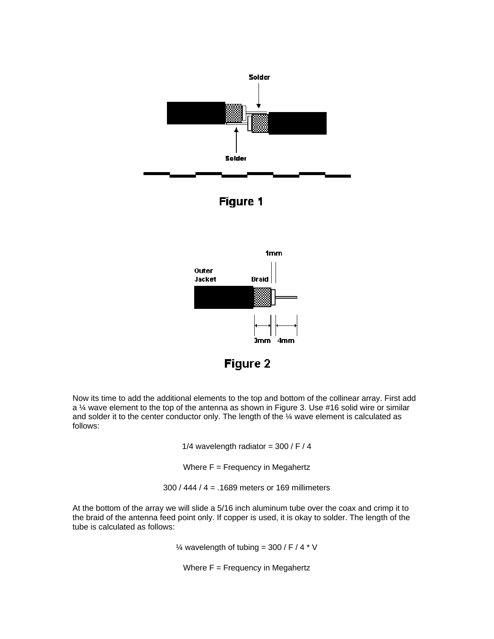



Now its time to add the additional elements to the top and bottom of the collinear array. First add a ¼ wave element to the top of the antenna as shown in Figure 3. Use #16 solid wire or similar and solder it to the center conductor only. The length of the  $\frac{1}{4}$  wave element is calculated as follows:

1/4 wavelength radiator =  $300 / F / 4$ 

Where  $F = F$ requency in Megahertz

300 / 444 / 4 = .1689 meters or 169 millimeters

At the bottom of the array we will slide a 5/16 inch aluminum tube over the coax and crimp it to the braid of the antenna feed point only. If copper is used, it is okay to solder. The length of the tube is calculated as follows:

 $\frac{1}{4}$  wavelength of tubing = 300 / F / 4  $*$  V

Where  $F = F$ requency in Megahertz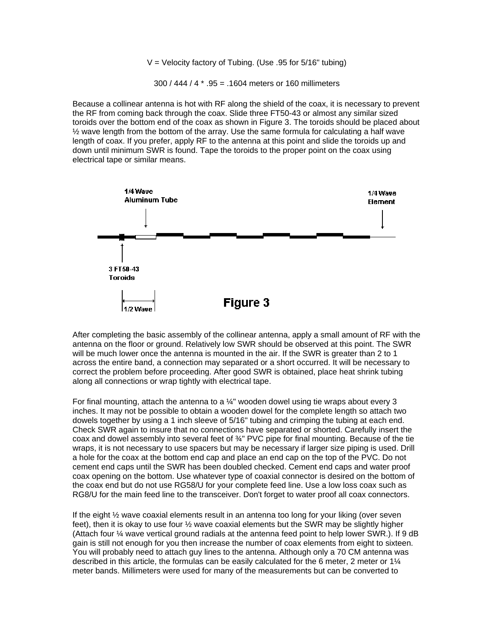$V =$  Velocity factory of Tubing. (Use .95 for 5/16" tubing)

300 / 444 / 4 \* .95 = .1604 meters or 160 millimeters

Because a collinear antenna is hot with RF along the shield of the coax, it is necessary to prevent the RF from coming back through the coax. Slide three FT50-43 or almost any similar sized toroids over the bottom end of the coax as shown in Figure 3. The toroids should be placed about  $\frac{1}{2}$  wave length from the bottom of the array. Use the same formula for calculating a half wave length of coax. If you prefer, apply RF to the antenna at this point and slide the toroids up and down until minimum SWR is found. Tape the toroids to the proper point on the coax using electrical tape or similar means.



After completing the basic assembly of the collinear antenna, apply a small amount of RF with the antenna on the floor or ground. Relatively low SWR should be observed at this point. The SWR will be much lower once the antenna is mounted in the air. If the SWR is greater than 2 to 1 across the entire band, a connection may separated or a short occurred. It will be necessary to correct the problem before proceeding. After good SWR is obtained, place heat shrink tubing along all connections or wrap tightly with electrical tape.

For final mounting, attach the antenna to a  $\frac{1}{4}$ " wooden dowel using tie wraps about every 3 inches. It may not be possible to obtain a wooden dowel for the complete length so attach two dowels together by using a 1 inch sleeve of 5/16" tubing and crimping the tubing at each end. Check SWR again to insure that no connections have separated or shorted. Carefully insert the coax and dowel assembly into several feet of ¾" PVC pipe for final mounting. Because of the tie wraps, it is not necessary to use spacers but may be necessary if larger size piping is used. Drill a hole for the coax at the bottom end cap and place an end cap on the top of the PVC. Do not cement end caps until the SWR has been doubled checked. Cement end caps and water proof coax opening on the bottom. Use whatever type of coaxial connector is desired on the bottom of the coax end but do not use RG58/U for your complete feed line. Use a low loss coax such as RG8/U for the main feed line to the transceiver. Don't forget to water proof all coax connectors.

If the eight ½ wave coaxial elements result in an antenna too long for your liking (over seven feet), then it is okay to use four ½ wave coaxial elements but the SWR may be slightly higher (Attach four ¼ wave vertical ground radials at the antenna feed point to help lower SWR.). If 9 dB gain is still not enough for you then increase the number of coax elements from eight to sixteen. You will probably need to attach guy lines to the antenna. Although only a 70 CM antenna was described in this article, the formulas can be easily calculated for the 6 meter, 2 meter or 1¼ meter bands. Millimeters were used for many of the measurements but can be converted to